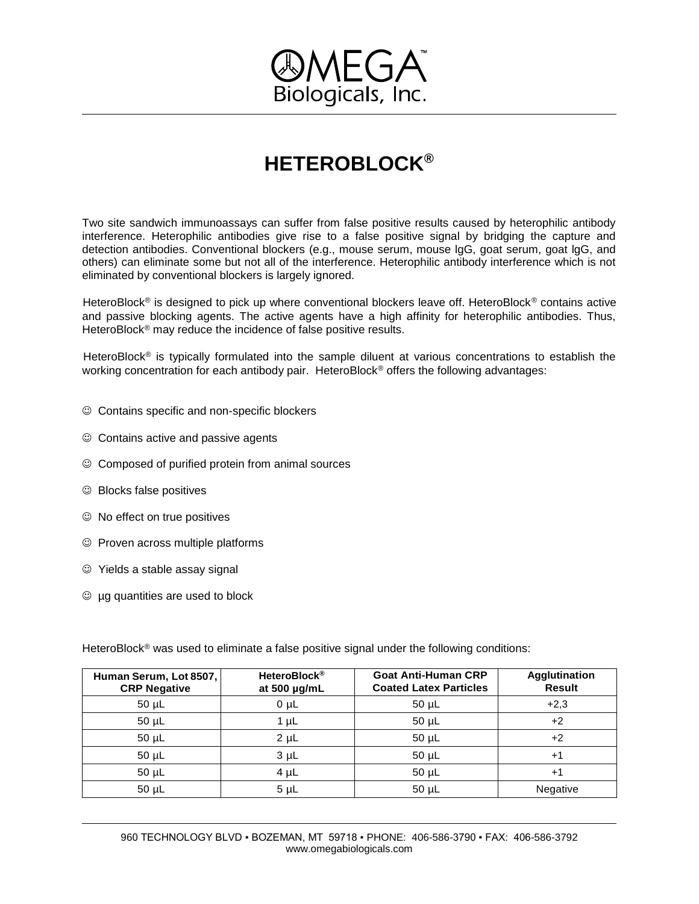

## **HETEROBLOCK®**

Two site sandwich immunoassays can suffer from false positive results caused by heterophilic antibody interference. Heterophilic antibodies give rise to a false positive signal by bridging the capture and detection antibodies. Conventional blockers (e.g., mouse serum, mouse lgG, goat serum, goat lgG, and others) can eliminate some but not all of the interference. Heterophilic antibody interference which is not eliminated by conventional blockers is largely ignored.

HeteroBlock<sup>®</sup> is designed to pick up where conventional blockers leave off. HeteroBlock<sup>®</sup> contains active and passive blocking agents. The active agents have a high affinity for heterophilic antibodies. Thus, HeteroBlock® may reduce the incidence of false positive results.

HeteroBlock® is typically formulated into the sample diluent at various concentrations to establish the working concentration for each antibody pair. HeteroBlock<sup>®</sup> offers the following advantages:

- ☺ Contains specific and non-specific blockers
- ☺ Contains active and passive agents
- ☺ Composed of purified protein from animal sources
- ☺ Blocks false positives
- ☺ No effect on true positives
- ☺ Proven across multiple platforms
- ☺ Yields a stable assay signal
- ☺ µg quantities are used to block

HeteroBlock® was used to eliminate a false positive signal under the following conditions:

| Human Serum, Lot 8507,<br><b>CRP Negative</b> | HeteroBlock <sup>®</sup><br>at 500 $\mu$ g/mL | <b>Goat Anti-Human CRP</b><br><b>Coated Latex Particles</b> | Agglutination<br>Result |
|-----------------------------------------------|-----------------------------------------------|-------------------------------------------------------------|-------------------------|
| $50 \mu L$                                    | $0 \mu L$                                     | $50 \mu L$                                                  | $+2,3$                  |
| $50 \mu L$                                    | $1 \mu L$                                     | $50 \mu L$                                                  | $+2$                    |
| $50 \mu L$                                    | $2 \mu L$                                     | $50 \mu L$                                                  | $+2$                    |
| $50 \mu L$                                    | 3 <sub>µ</sub>                                | $50 \mu L$                                                  | $+1$                    |
| $50 \mu L$                                    | $4 \mu L$                                     | $50 \mu L$                                                  | $+1$                    |
| $50 \mu L$                                    | 5 <sub>µ</sub>                                | $50 \mu L$                                                  | Negative                |